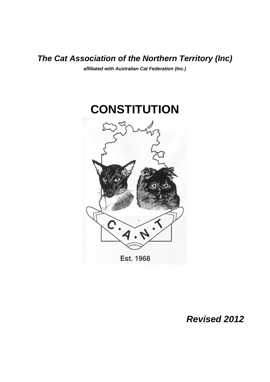# *The Cat Association of the Northern Territory (Inc)*

*affiliated with Australian Cat Federation (Inc.)*



# *Revised 2012*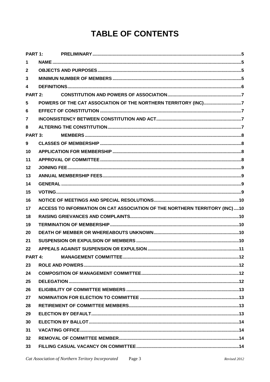# **TABLE OF CONTENTS**

| PART 1:         |  |                                                                              |  |
|-----------------|--|------------------------------------------------------------------------------|--|
| $\mathbf 1$     |  |                                                                              |  |
| $\mathbf{2}$    |  |                                                                              |  |
| 3               |  |                                                                              |  |
| 4               |  |                                                                              |  |
| PART 2:         |  |                                                                              |  |
| 5               |  |                                                                              |  |
| 6               |  |                                                                              |  |
| $\overline{7}$  |  |                                                                              |  |
| 8               |  |                                                                              |  |
| <b>PART 3:</b>  |  |                                                                              |  |
| 9               |  |                                                                              |  |
| 10              |  |                                                                              |  |
| 11              |  |                                                                              |  |
| 12              |  |                                                                              |  |
| 13              |  |                                                                              |  |
| 14              |  |                                                                              |  |
| 15              |  |                                                                              |  |
| 16              |  |                                                                              |  |
| 17              |  | ACCESS TO INFORMATION ON CAT ASSOCIATION OF THE NORTHERN TERRITORY (INC)  10 |  |
| 18              |  |                                                                              |  |
| 19              |  |                                                                              |  |
| 20              |  |                                                                              |  |
| 21              |  |                                                                              |  |
| 22              |  |                                                                              |  |
| PART 4:         |  |                                                                              |  |
| 23              |  |                                                                              |  |
| 24              |  |                                                                              |  |
| 25              |  |                                                                              |  |
| 26              |  |                                                                              |  |
| 27              |  |                                                                              |  |
| 28              |  |                                                                              |  |
| 29              |  |                                                                              |  |
| 30              |  |                                                                              |  |
| 31              |  |                                                                              |  |
| 32 <sub>2</sub> |  |                                                                              |  |
| 33              |  |                                                                              |  |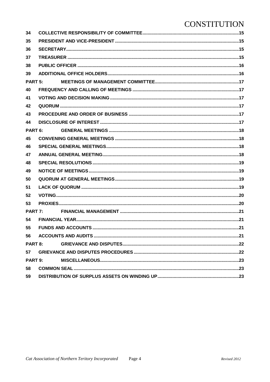| 34                 |  |  |  |  |  |
|--------------------|--|--|--|--|--|
| 35                 |  |  |  |  |  |
| 36                 |  |  |  |  |  |
| 37                 |  |  |  |  |  |
| 38                 |  |  |  |  |  |
| 39                 |  |  |  |  |  |
| PART <sub>5:</sub> |  |  |  |  |  |
| 40                 |  |  |  |  |  |
| 41                 |  |  |  |  |  |
| 42                 |  |  |  |  |  |
| 43                 |  |  |  |  |  |
| 44                 |  |  |  |  |  |
| PART <sub>6:</sub> |  |  |  |  |  |
| 45                 |  |  |  |  |  |
| 46                 |  |  |  |  |  |
| 47                 |  |  |  |  |  |
| 48                 |  |  |  |  |  |
| 49                 |  |  |  |  |  |
| 50                 |  |  |  |  |  |
| 51                 |  |  |  |  |  |
| 52                 |  |  |  |  |  |
| 53                 |  |  |  |  |  |
| PART 7:            |  |  |  |  |  |
| 54                 |  |  |  |  |  |
| 55                 |  |  |  |  |  |
| 56                 |  |  |  |  |  |
| PART 8:            |  |  |  |  |  |
| 57                 |  |  |  |  |  |
| PART 9:            |  |  |  |  |  |
| 58                 |  |  |  |  |  |
| 59                 |  |  |  |  |  |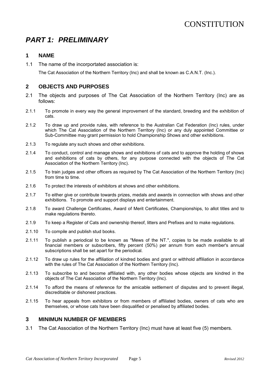# <span id="page-4-0"></span>*PART 1: PRELIMINARY*

# <span id="page-4-1"></span>**1 NAME**

1.1 The name of the incorportated association is:

The Cat Association of the Northern Territory (Inc) and shall be known as C.A.N.T. (Inc.).

# <span id="page-4-2"></span>**2 OBJECTS AND PURPOSES**

- 2.1 The objects and purposes of The Cat Association of the Northern Territory (Inc) are as follows:
- 2.1.1 To promote in every way the general improvement of the standard, breeding and the exhibition of cats.
- 2.1.2 To draw up and provide rules, with reference to the Australian Cat Federation (Inc) rules, under which The Cat Association of the Northern Territory (Inc) or any duly appointed Committee or Sub-Committee may grant permission to hold Championship Shows and other exhibitions.
- 2.1.3 To regulate any such shows and other exhibitions.
- 2.1.4 To conduct, control and manage shows and exhibitions of cats and to approve the holding of shows and exhibitions of cats by others, for any purpose connected with the objects of The Cat Association of the Northern Territory (Inc).
- 2.1.5 To train judges and other officers as required by The Cat Association of the Northern Territory (Inc) from time to time.
- 2.1.6 To protect the interests of exhibitors at shows and other exhibitions.
- 2.1.7 To either give or contribute towards prizes, medals and awards in connection with shows and other exhibitions. To promote and support displays and entertainment.
- 2.1.8 To award Challenge Certificates, Award of Merit Certificates, Championships, to allot titles and to make regulations thereto.
- 2.1.9 To keep a Register of Cats and ownership thereof, litters and Prefixes and to make regulations.
- 2.1.10 To compile and publish stud books.
- 2.1.11 To publish a periodical to be known as "Mews of the NT.", copies to be made available to all financial members or subscribers, fifty percent (50%) per annum from each member's annual subscriptions shall be set apart for the periodical.
- 2.1.12 To draw up rules for the affiliation of kindred bodies and grant or withhold affiliation in accordance with the rules of The Cat Association of the Northern Territory (Inc).
- 2.1.13 To subscribe to and become affiliated with, any other bodies whose objects are kindred in the objects of The Cat Association of the Northern Territory (Inc).
- 2.1.14 To afford the means of reference for the amicable settlement of disputes and to prevent illegal, discreditable or dishonest practices.
- 2.1.15 To hear appeals from exhibitors or from members of affiliated bodies, owners of cats who are themselves, or whose cats have been disqualified or penalised by affiliated bodies.

#### <span id="page-4-3"></span>**3 MINIMUN NUMBER OF MEMBERS**

3.1 The Cat Association of the Northern Territory (Inc) must have at least five (5) members.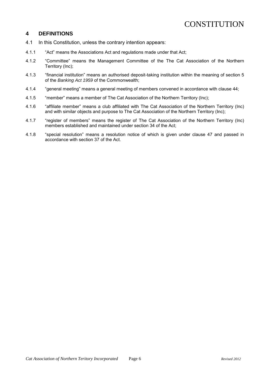### <span id="page-5-0"></span>**4 DEFINITIONS**

- 4.1 In this Constitution, unless the contrary intention appears:
- 4.1.1 "Act" means the Associations Act and regulations made under that Act;
- 4.1.2 "Committee" means the Management Committee of the The Cat Association of the Northern Territory (Inc);
- 4.1.3 "financial institution" means an authorised deposit-taking institution within the meaning of section 5 of the *Banking Act 1959* of the Commonwealth;
- 4.1.4 "general meeting" means a general meeting of members convened in accordance with clause 44;
- 4.1.5 "member" means a member of The Cat Association of the Northern Territory (Inc);
- 4.1.6 "affiliate member" means a club affiliated with The Cat Association of the Northern Territory (Inc) and with similar objects and purpose to The Cat Association of the Northern Territory (Inc);
- 4.1.7 "register of members" means the register of The Cat Association of the Northern Territory (Inc) members established and maintained under section 34 of the Act;
- 4.1.8 "special resolution" means a resolution notice of which is given under clause 47 and passed in accordance with section 37 of the Act.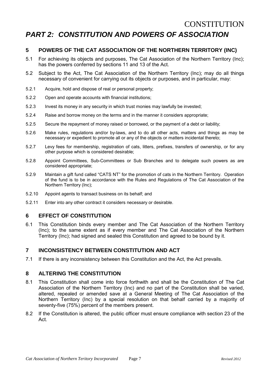# <span id="page-6-0"></span>**CONSTITUTION** *PART 2: CONSTITUTION AND POWERS OF ASSOCIATION*

# <span id="page-6-1"></span>**5 POWERS OF THE CAT ASSOCIATION OF THE NORTHERN TERRITORY (INC)**

- 5.1 For achieving its objects and purposes, The Cat Association of the Northern Territory (Inc); has the powers conferred by sections 11 and 13 of the Act.
- 5.2 Subject to the Act, The Cat Association of the Northern Territory (Inc); may do all things necessary of convenient for carrying out its objects or purposes, and in particular, may:
- 5.2.1 Acquire, hold and dispose of real or personal property;
- 5.2.2 Open and operate accounts with financial institutions;
- 5.2.3 Invest its money in any security in which trust monies may lawfully be invested;
- 5.2.4 Raise and borrow money on the terms and in the manner it considers appropriate;
- 5.2.5 Secure the repayment of money raised or borrowed, or the payment of a debt or liability;
- 5.2.6 Make rules, regulations and/or by-laws, and to do all other acts, matters and things as may be necessary or expedient to promote all or any of the objects or matters incidental thereto;
- 5.2.7 Levy fees for membership, registration of cats, litters, prefixes, transfers of ownership, or for any other purpose which is considered desirable;
- 5.2.8 Appoint Committees, Sub-Committees or Sub Branches and to delegate such powers as are considered appropriate;
- 5.2.9 Maintain a gift fund called "CATS NT" for the promotion of cats in the Northern Territory. Operation of the fund is to be in accordance with the Rules and Regulations of The Cat Association of the Northern Territory (Inc);
- 5.2.10 Appoint agents to transact business on its behalf; and
- 5.2.11 Enter into any other contract it considers necessary or desirable.

# <span id="page-6-2"></span>**6 EFFECT OF CONSTITUTION**

6.1 This Constitution binds every member and The Cat Association of the Northern Territory (Inc); to the same extent as if every member and The Cat Association of the Northern Territory (Inc); had signed and sealed this Constitution and agreed to be bound by it.

# <span id="page-6-3"></span>**7 INCONSISTENCY BETWEEN CONSTITUTION AND ACT**

7.1 If there is any inconsistency between this Constitution and the Act, the Act prevails.

# <span id="page-6-4"></span>**8 ALTERING THE CONSTITUTION**

- 8.1 This Constitution shall come into force forthwith and shall be the Constitution of The Cat Association of the Northern Territory (Inc) and no part of the Constitution shall be varied, altered, repealed or amended save at a General Meeting of The Cat Association of the Northern Territory (Inc) by a special resolution on that behalf carried by a majority of seventy-five (75%) percent of the members present.
- 8.2 If the Constitution is altered, the public officer must ensure compliance with section 23 of the Act.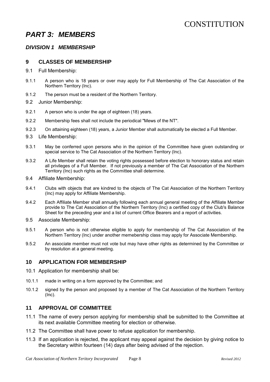# <span id="page-7-0"></span>*PART 3: MEMBERS*

### *DIVISION 1 MEMBERSHIP*

#### <span id="page-7-1"></span>**9 CLASSES OF MEMBERSHIP**

- 9.1 Full Membership:
- 9.1.1 A person who is 18 years or over may apply for Full Membership of The Cat Association of the Northern Territory (Inc).
- 9.1.2 The person must be a resident of the Northern Territory.
- 9.2 Junior Membership:
- 9.2.1 A person who is under the age of eighteen (18) years.
- 9.2.2 Membership fees shall not include the periodical "Mews of the NT".
- 9.2.3 On attaining eighteen (18) years, a Junior Member shall automatically be elected a Full Member.
- 9.3 Life Membership:
- 9.3.1 May be conferred upon persons who in the opinion of the Committee have given outstanding or special service to The Cat Association of the Northern Territory (Inc).
- 9.3.2 A Life Member shall retain the voting rights possessed before election to honorary status and retain all privileges of a Full Member. If not previously a member of The Cat Association of the Northern Territory (Inc) such rights as the Committee shall determine.
- 9.4 Affiliate Membership:
- 9.4.1 Clubs with objects that are kindred to the objects of The Cat Association of the Northern Territory (Inc) may apply for Affiliate Membership.
- 9.4.2 Each Affiliate Member shall annually following each annual general meeting of the Affiliate Member provide to The Cat Association of the Northern Territory (Inc) a certified copy of the Club's Balance Sheet for the preceding year and a list of current Office Bearers and a report of activities.
- 9.5 Associate Membership:
- 9.5.1 A person who is not otherwise eligible to apply for membership of The Cat Association of the Northern Territory (Inc) under another memebership class may apply for Associate Membership.
- 9.5.2 An associate member must not vote but may have other rights as determined by the Committee or by resolution at a general meeting.

#### <span id="page-7-2"></span>**10 APPLICATION FOR MEMBERSHIP**

- 10.1 Application for membership shall be:
- 10.1.1 made in writing on a form approved by the Committee; and
- 10.1.2 signed by the person and proposed by a member of The Cat Association of the Northern Territory (Inc).

### <span id="page-7-3"></span>**11 APPROVAL OF COMMITTEE**

- 11.1 The name of every person applying for membership shall be submitted to the Committee at its next available Committee meeting for election or otherwise.
- 11.2 The Committee shall have power to refuse application for membership.
- 11.3 If an application is rejected, the applicant may appeal against the decision by giving notice to the Secretary within fourteen (14) days after being advised of the rejection.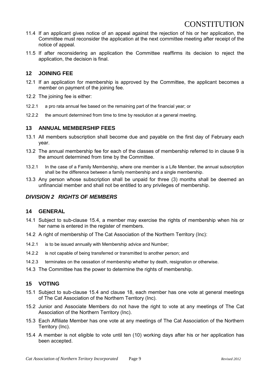- 11.4 If an applicant gives notice of an appeal against the rejection of his or her application, the Committee must reconsider the application at the next committee meeting after receipt of the notice of appeal.
- 11.5 If after reconsidering an application the Committee reaffirms its decision to reject the application, the decision is final.

# <span id="page-8-0"></span>**12 JOINING FEE**

- 12.1 If an application for membership is approved by the Committee, the applicant becomes a member on payment of the joining fee.
- 12.2 The joining fee is either:
- 12.2.1 a pro rata annual fee based on the remaining part of the financial year; or
- 12.2.2 the amount determined from time to time by resolution at a general meeting.

### <span id="page-8-1"></span>**13 ANNUAL MEMBERSHIP FEES**

- 13.1 All members subscription shall become due and payable on the first day of February each year.
- 13.2 The annual membership fee for each of the classes of membership referred to in clause 9 is the amount determined from time by the Committee.
- 13.2.1 In the case of a Family Membership, where one member is a Life Member, the annual subscription shall be the difference between a family membership and a single membership.
- 13.3 Any person whose subscription shall be unpaid for three (3) months shall be deemed an unfinancial member and shall not be entitled to any privileges of membership.

# *DIVISION 2 RIGHTS OF MEMBERS*

### <span id="page-8-2"></span>**14 GENERAL**

- 14.1 Subject to sub-clause 15.4, a member may exercise the rights of membership when his or her name is entered in the register of members.
- 14.2 A right of membership of The Cat Association of the Northern Territory (Inc):
- 14.2.1 is to be issued annually with Membership advice and Number;
- 14.2.2 is not capable of being transferred or transmitted to another person; and
- 14.2.3 terminates on the cessation of membership whether by death, resignation or otherwise.
- 14.3 The Committee has the power to determine the rights of membership.

# <span id="page-8-3"></span>**15 VOTING**

- 15.1 Subject to sub-clause 15.4 and clause 18, each member has one vote at general meetings of The Cat Association of the Northern Territory (Inc).
- 15.2 Junior and Associate Members do not have the right to vote at any meetings of The Cat Association of the Northern Territory (Inc).
- 15.3 Each Affiliate Member has one vote at any meetings of The Cat Association of the Northern Territory (Inc).
- 15.4 A member is not eligible to vote until ten (10) working days after his or her application has been accepted.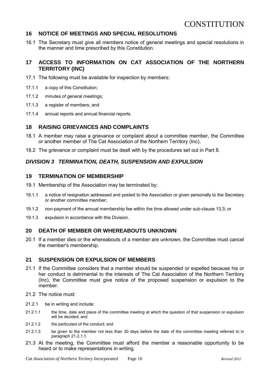# <span id="page-9-0"></span>**16 NOTICE OF MEETINGS AND SPECIAL RESOLUTIONS**

16.1 The Secretary must give all members notice of general meetings and special resolutions in the manner and time prescribed by this Constitution.

### <span id="page-9-1"></span>**17 ACCESS TO INFORMATION ON CAT ASSOCIATION OF THE NORTHERN TERRITORY (INC)**

- 17.1 The following must be available for inspection by members:
- 17.1.1 a copy of this Constitution;
- 17.1.2 minutes of general meetings;
- 17.1.3 a register of members; and
- 17.1.4 annual reports and annual financial reports.

### <span id="page-9-2"></span>**18 RAISING GRIEVANCES AND COMPLAINTS**

- 18.1 A member may raise a grievance or complaint about a committee member, the Committee or another member of The Cat Association of the Northern Territory (Inc).
- 18.2 The grievance or complaint must be dealt with by the procedures set out in Part 8.

# *DIVISION 3 TERMINATION, DEATH, SUSPENSION AND EXPULSION*

#### <span id="page-9-3"></span>**19 TERMINATION OF MEMBERSHIP**

- 19.1 Membership of the Association may be terminated by:
- 19.1.1 a notice of resignation addressed and posted to the Association or given personally to the Secretary or another committee member;
- 19.1.2 non-payment of the annual membership fee within the time allowed under sub-clause 13.3; or
- 19.1.3 expulsion in accordance with this Division.

# <span id="page-9-4"></span>**20 DEATH OF MEMBER OR WHEREABOUTS UNKNOWN**

20.1 If a member dies or the whereabouts of a member are unknown, the Committee must cancel the member's membership.

# <span id="page-9-5"></span>**21 SUSPENSION OR EXPULSION OF MEMBERS**

- 21.1 If the Committee considers that a member should be suspended or expelled because his or her conduct is detrimental to the interests of The Cat Association of the Northern Territory (Inc), the Committee must give notice of the proposed suspension or expulsion to the member.
- 21.2 The notice must:
- 21.2.1 be in writing and include:
- 21.2.1.1 the time, date and place of the committee meeting at which the question of that suspension or expulsion will be decided; and
- 21.2.1.2 the particulars of the conduct; and
- 21.2.1.3 be given to the member not less than 30 days before the date of the committee meeting referred to in paragraph 21.2.1.1.
- 21.3 At the meeting, the Committee must afford the member a reasonable opportunity to be heard or to make representations in writing.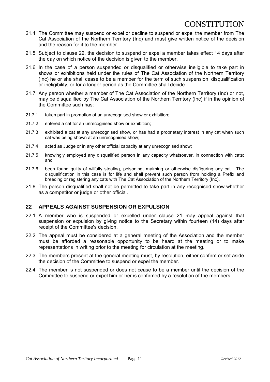- 21.4 The Committee may suspend or expel or decline to suspend or expel the member from The Cat Association of the Northern Territory (Inc) and must give written notice of the decision and the reason for it to the member.
- 21.5 Subject to clause 22, the decision to suspend or expel a member takes effect 14 days after the day on which notice of the decision is given to the member.
- 21.6 In the case of a person suspended or disqualified or otherwise ineligible to take part in shows or exhibitions held under the rules of The Cat Association of the Northern Territory (Inc) he or she shall cease to be a member for the term of such suspension, disqualification or ineligibility, or for a longer period as the Committee shall decide.
- 21.7 Any person whether a member of The Cat Association of the Northern Territory (Inc) or not, may be disqualified by The Cat Association of the Northern Territory (Inc) if in the opinion of the Committee such has:
- 21.7.1 taken part in promotion of an unrecognised show or exhibition;
- 21.7.2 entered a cat for an unrecognised show or exhibition;
- 21.7.3 exhibited a cat at any unrecognised show, or has had a proprietary interest in any cat when such cat was being shown at an unrecognised show;
- 21.7.4 acted as Judge or in any other official capacity at any unrecognised show;
- 21.7.5 knowingly employed any disqualified person in any capacity whatsoever, in connection with cats; and
- 21.7.6 been found guilty of wilfully stealing, poisoning, maiming or otherwise disfiguring any cat. The disqualification in this case is for life and shall prevent such person from holding a Prefix and breeding or registering any cats with The Cat Association of the Northern Territory (Inc).
- 21.8 The person disqualified shall not be permitted to take part in any recognised show whether as a competitor or judge or other official.

#### <span id="page-10-0"></span>**22 APPEALS AGAINST SUSPENSION OR EXPULSION**

- 22.1 A member who is suspended or expelled under clause 21 may appeal against that suspension or expulsion by giving notice to the Secretary within fourteen (14) days after receipt of the Committee's decision.
- 22.2 The appeal must be considered at a general meeting of the Association and the member must be afforded a reasonable opportunity to be heard at the meeting or to make representations in writing prior to the meeting for circulation at the meeting.
- 22.3 The members present at the general meeting must, by resolution, either confirm or set aside the decision of the Committee to suspend or expel the member.
- 22.4 The member is not suspended or does not cease to be a member until the decision of the Committee to suspend or expel him or her is confirmed by a resolution of the members.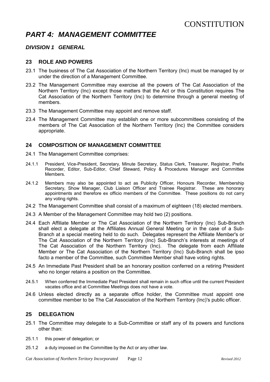# <span id="page-11-0"></span>*PART 4: MANAGEMENT COMMITTEE*

# *DIVISION 1 GENERAL*

#### <span id="page-11-1"></span>**23 ROLE AND POWERS**

- 23.1 The business of The Cat Association of the Northern Territory (Inc) must be managed by or under the direction of a Management Committee.
- 23.2 The Management Committee may exercise all the powers of The Cat Association of the Northern Territory (Inc) except those matters that the Act or this Constitution requires The Cat Association of the Northern Territory (Inc) to determine through a general meeting of members.
- 23.3 The Management Committee may appoint and remove staff.
- 23.4 The Management Committee may establish one or more subcommittees consisting of the members of The Cat Association of the Northern Territory (Inc) the Committee considers appropriate.

#### <span id="page-11-2"></span>**24 COMPOSITION OF MANAGEMENT COMMITTEE**

- 24.1 The Management Committee comprises:
- 24.1.1 President, Vice-President, Secretary, Minute Secretary, Status Clerk, Treasurer, Registrar, Prefix Recorder, Editor, Sub-Editor, Chief Steward, Policy & Procedures Manager and Committee Members.
- 24.1.2 Members may also be appointed to act as Publicity Officer, Honours Recorder, Membership Secretary, Show Manager, Club Liaison Officer and Trainee Registrar. These are honorary appointments and therefore ex officio members of the Committee. These positions do not carry any voting rights.
- 24.2 The Management Committee shall consist of a maximum of eighteen (18) elected members.
- 24.3 A Member of the Management Committee may hold two (2) positions.
- 24.4 Each Affiliate Member or The Cat Association of the Northern Territory (Inc) Sub-Branch shall elect a delegate at the Affiliates Annual General Meeting or in the case of a Sub-Branch at a special meeting held to do such. Delegates represent the Affiliate Member's or The Cat Association of the Northern Territory (Inc) Sub-Branch's interests at meetings of The Cat Association of the Northern Territory (Inc). The delegate from each Affiliate Member or The Cat Association of the Northern Territory (Inc) Sub-Branch shall be ipso facto a member of the Committee, such Committee Member shall have voting rights.
- 24.5 An Immediate Past President shall be an honorary position conferred on a retiring President who no longer retains a position on the Committee.
- 24.5.1 When conferred the Immediate Past President shall remain in such office until the current President vacates office and at Committee Meetings does not have a vote.
- 24.6 Unless elected directly as a separate office holder, the Committee must appoint one committee member to be The Cat Association of the Northern Territory (Inc)'s public officer.

#### <span id="page-11-3"></span>**25 DELEGATION**

- 25.1 The Committee may delegate to a Sub-Committee or staff any of its powers and functions other than:
- 25.1.1 this power of delegation; or
- 25.1.2 a duty imposed on the Committee by the Act or any other law.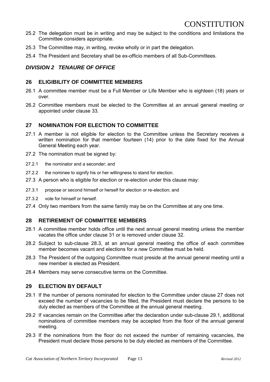- 25.2 The delegation must be in writing and may be subject to the conditions and limitations the Committee considers appropriate.
- 25.3 The Committee may, in writing, revoke wholly or in part the delegation.
- 25.4 The President and Secretary shall be ex-officio members of all Sub-Committees.

# *DIVISION 2 TENAURE OF OFFICE*

#### <span id="page-12-0"></span>**26 ELIGIBILITY OF COMMITTEE MEMBERS**

- 26.1 A committee member must be a Full Member or Life Member who is eighteen (18) years or over.
- 26.2 Committee members must be elected to the Committee at an annual general meeting or appointed under clause 33.

# <span id="page-12-1"></span>**27 NOMINATION FOR ELECTION TO COMMITTEE**

- 27.1 A member is not eligible for election to the Committee unless the Secretary receives a written nomination for that member fourteen (14) prior to the date fixed for the Annual General Meeting each year.
- 27.2 The nomination must be signed by:
- 27.2.1 the nominator and a seconder; and
- 27.2.2 the nominee to signify his or her willingness to stand for election.
- 27.3 A person who is eligible for election or re-election under this clause may:
- 27.3.1 propose or second himself or herself for election or re-election; and
- 27.3.2 vote for himself or herself.
- 27.4 Only two members from the same family may be on the Committee at any one time.

### <span id="page-12-2"></span>**28 RETIREMENT OF COMMITTEE MEMBERS**

- 28.1 A committee member holds office until the next annual general meeting unless the member vacates the office under clause 31 or is removed under clause 32.
- 28.2 Subject to sub-clause 28.3, at an annual general meeting the office of each committee member becomes vacant and elections for a new Committee must be held.
- 28.3 The President of the outgoing Committee must preside at the annual general meeting until a new member is elected as President.
- 28.4 Members may serve consecutive terms on the Committee.

### <span id="page-12-3"></span>**29 ELECTION BY DEFAULT**

- 29.1 If the number of persons nominated for election to the Committee under clause 27 does not exceed the number of vacancies to be filled, the President must declare the persons to be duly elected as members of the Committee at the annual general meeting.
- 29.2 If vacancies remain on the Committee after the declaration under sub-clause 29.1, additional nominations of committee members may be accepted from the floor of the annual general meeting.
- 29.3 If the nominations from the floor do not exceed the number of remaining vacancies, the President must declare those persons to be duly elected as members of the Committee.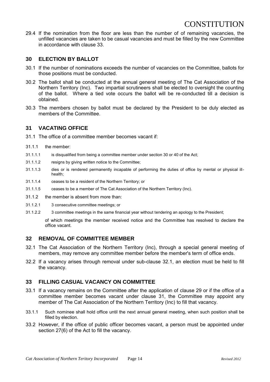29.4 If the nomination from the floor are less than the number of of remaining vacancies, the unfilled vacancies are taken to be casual vacancies and must be filled by the new Committee in accordance with clause 33.

# <span id="page-13-0"></span>**30 ELECTION BY BALLOT**

- 30.1 If the number of nominations exceeds the number of vacancies on the Committee, ballots for those positions must be conducted.
- 30.2 The ballot shall be conducted at the annual general meeting of The Cat Association of the Northern Territory (Inc). Two impartial scrutineers shall be elected to oversight the counting of the ballot. Where a tied vote occurs the ballot will be re-conducted till a decision is obtained.
- 30.3 The members chosen by ballot must be declared by the President to be duly elected as members of the Committee.

### <span id="page-13-1"></span>**31 VACATING OFFICE**

- 31.1 The office of a committee member becomes vacant if:
- 31.1.1 the member:
- 31.1.1.1 is disqualified from being a committee member under section 30 or 40 of the Act;
- 31.1.1.2 resigns by giving written notice to the Committee;
- 31.1.1.3 dies or is rendered permanently incapable of performing the duties of office by mental or physical illhealth;
- 31.1.1.4 ceases to be a resident of the Northern Territory; or
- 31.1.1.5 ceases to be a member of The Cat Association of the Northern Territory (Inc).
- 31.1.2 the member is absent from more than:
- 31.1.2.1 3 consecutive committee meetings; or
- 31.1.2.2 3 committee meetings in the same financial year without tendering an apology to the President;

of which meetings the member received notice and the Committee has resolved to declare the office vacant.

#### <span id="page-13-2"></span>**32 REMOVAL OF COMMITTEE MEMBER**

- 32.1 The Cat Association of the Northern Territory (Inc), through a special general meeting of members, may remove any committee member before the member's term of office ends.
- 32.2 If a vacancy arises through removal under sub-clause 32.1, an election must be held to fill the vacancy.

# <span id="page-13-3"></span>**33 FILLING CASUAL VACANCY ON COMMITTEE**

- 33.1 If a vacancy remains on the Committee after the application of clause 29 or if the office of a committee member becomes vacant under clause 31, the Committee may appoint any member of The Cat Association of the Northern Territory (Inc) to fill that vacancy.
- 33.1.1 Such nominee shall hold office until the next annual general meeting, when such position shall be filled by election.
- 33.2 However, if the office of public officer becomes vacant, a person must be appointed under section 27(6) of the Act to fill the vacancy.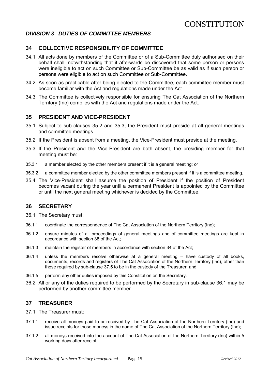### *DIVISION 3 DUTIES OF COMMITTEE MEMBERS*

### <span id="page-14-0"></span>**34 COLLECTIVE RESPONSIBILITY OF COMMITTEE**

- 34.1 All acts done by members of the Committee or of a Sub-Committee duly authorised on their behalf shall, notwithstanding that it afterwards be discovered that some person or persons were ineligible to act on such Committee or Sub-Committee be as valid as if such person or persons were eligible to act on such Committee or Sub-Committee.
- 34.2 As soon as practicable after being elected to the Committee, each committee member must become familiar with the Act and regulations made under the Act.
- 34.3 The Committee is collectively responsible for ensuring The Cat Association of the Northern Territory (Inc) complies with the Act and regulations made under the Act.

#### <span id="page-14-1"></span>**35 PRESIDENT AND VICE-PRESIDENT**

- 35.1 Subject to sub-clauses 35.2 and 35.3, the President must preside at all general meetings and committee meetings.
- 35.2 If the President is absent from a meeting, the Vice-President must preside at the meeting.
- 35.3 If the President and the Vice-President are both absent, the presiding member for that meeting must be:
- 35.3.1 a member elected by the other members present if it is a general meeting; or
- 35.3.2 a committee member elected by the other committee members present if it is a committee meeting.
- 35.4 The Vice-President shall assume the position of President if the position of President becomes vacant during the year until a permanent President is appointed by the Committee or until the next general meeting whichever is decided by the Committee.

### <span id="page-14-2"></span>**36 SECRETARY**

- 36.1 The Secretary must:
- 36.1.1 coordinate the correspondence of The Cat Association of the Northern Territory (Inc);
- 36.1.2 ensure minutes of all proceedings of general meetings and of committee meetings are kept in accordance with section 38 of the Act;
- 36.1.3 maintain the register of members in accordance with section 34 of the Act;
- 36.1.4 unless the members resolve otherwise at a general meeting have custody of all books, documents, records and registers of The Cat Association of the Northern Territory (Inc), other than those required by sub-clause 37.5 to be in the custody of the Treasurer; and
- 36.1.5 perform any other duties imposed by this Constitution on the Secretary.
- 36.2 All or any of the duties required to be performed by the Secretary in sub-clause 36.1 may be performed by another committee member.

#### <span id="page-14-3"></span>**37 TREASURER**

- 37.1 The Treasurer must:
- 37.1.1 receive all moneys paid to or received by The Cat Association of the Northern Territory (Inc) and issue receipts for those moneys in the name of The Cat Association of the Northern Territory (Inc);
- 37.1.2 all moneys received into the account of The Cat Association of the Northern Territory (Inc) within 5 working days after receipt;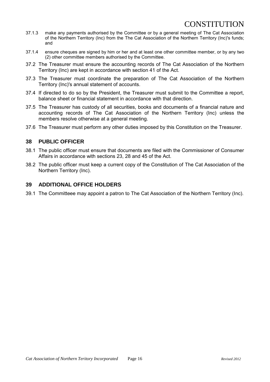- 37.1.3 make any payments authorised by the Committee or by a general meeting of The Cat Association of the Northern Territory (Inc) from the The Cat Association of the Northern Territory (Inc)'s funds; and
- 37.1.4 ensure cheques are signed by him or her and at least one other committee member, or by any two (2) other committee members authorised by the Committee.
- 37.2 The Treasurer must ensure the accounting records of The Cat Association of the Northern Territory (Inc) are kept in accordance with section 41 of the Act.
- 37.3 The Treasurer must coordinate the preparation of The Cat Association of the Northern Territory (Inc)'s annual statement of accounts.
- 37.4 If directed to do so by the President, the Treasurer must submit to the Committee a report, balance sheet or financial statement in accordance with that direction.
- 37.5 The Treasurer has custody of all securities, books and documents of a financial nature and accounting records of The Cat Association of the Northern Territory (Inc) unless the members resolve otherwise at a general meeting.
- 37.6 The Treasurer must perform any other duties imposed by this Constitution on the Treasurer.

### <span id="page-15-0"></span>**38 PUBLIC OFFICER**

- 38.1 The public officer must ensure that documents are filed with the Commissioner of Consumer Affairs in accordance with sections 23, 28 and 45 of the Act.
- 38.2 The public officer must keep a current copy of the Constitution of The Cat Association of the Northern Territory (Inc).

#### <span id="page-15-1"></span>**39 ADDITIONAL OFFICE HOLDERS**

39.1 The Committeee may appoint a patron to The Cat Association of the Northern Territory (Inc).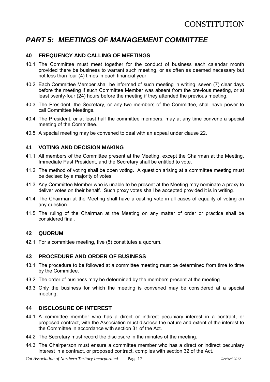# <span id="page-16-0"></span>*PART 5: MEETINGS OF MANAGEMENT COMMITTEE*

# <span id="page-16-1"></span>**40 FREQUENCY AND CALLING OF MEETINGS**

- 40.1 The Committee must meet together for the conduct of business each calendar month provided there be business to warrant such meeting, or as often as deemed necessary but not less than four (4) times in each financial year.
- 40.2 Each Committee Member shall be informed of such meeting in writing, seven (7) clear days before the meeting if such Committee Member was absent from the previous meeting, or at least twenty-four (24) hours before the meeting if they attended the previous meeting.
- 40.3 The President, the Secretary, or any two members of the Committee, shall have power to call Committee Meetings.
- 40.4 The President, or at least half the committee members, may at any time convene a special meeting of the Committee.
- 40.5 A special meeting may be convened to deal with an appeal under clause 22.

### <span id="page-16-2"></span>**41 VOTING AND DECISION MAKING**

- 41.1 All members of the Committee present at the Meeting, except the Chairman at the Meeting, Immediate Past President, and the Secretary shall be entitled to vote.
- 41.2 The method of voting shall be open voting. A question arising at a committee meeting must be decised by a majority of votes.
- 41.3 Any Committee Member who is unable to be present at the Meeting may nominate a proxy to deliver votes on their behalf. Such proxy votes shall be accepted provided it is in writing*.*
- 41.4 The Chairman at the Meeting shall have a casting vote in all cases of equality of voting on any question.
- 41.5 The ruling of the Chairman at the Meeting on any matter of order or practice shall be considered final.

#### <span id="page-16-3"></span>**42 QUORUM**

42.1 For a committee meeting, five (5) constitutes a quorum.

#### <span id="page-16-4"></span>**43 PROCEDURE AND ORDER OF BUSINESS**

- 43.1 The procedure to be followed at a committee meeting must be determined from time to time by the Committee.
- 43.2 The order of business may be determined by the members present at the meeting.
- 43.3 Only the business for which the meeting is convened may be considered at a special meeting.

### <span id="page-16-5"></span>**44 DISCLOSURE OF INTEREST**

- 44.1 A committee member who has a direct or indirect pecuniary interest in a contract, or proposed contract, with the Association must disclose the nature and extent of the interest to the Committee in accordance with section 31 of the Act.
- 44.2 The Secretary must record the disclosure in the minutes of the meeting.
- 44.3 The Chairperson must ensure a committee member who has a direct or indirect pecuniary interest in a contract, or proposed contract, complies with section 32 of the Act.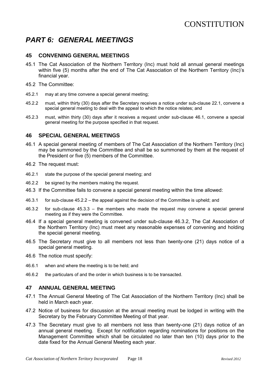# <span id="page-17-0"></span>*PART 6: GENERAL MEETINGS*

### <span id="page-17-1"></span>**45 CONVENING GENERAL MEETINGS**

- 45.1 The Cat Association of the Northern Territory (Inc) must hold all annual general meetings within five (5) months after the end of The Cat Association of the Northern Territory (Inc)'s financial year.
- 45.2 The Committee:
- 45.2.1 may at any time convene a special general meeting;
- 45.2.2 must, within thirty (30) days after the Secretary receives a notice under sub-clause 22.1, convene a special general meeting to deal with the appeal to which the notice relates; and
- 45.2.3 must, within thirty (30) days after it receives a request under sub-clause 46.1, convene a special general meeting for the purpose specified in that request.

#### <span id="page-17-2"></span>**46 SPECIAL GENERAL MEETINGS**

- 46.1 A special general meeting of members of The Cat Association of the Northern Territory (Inc) may be summoned by the Committee and shall be so summoned by them at the request of the President or five (5) members of the Committee.
- 46.2 The request must:
- 46.2.1 state the purpose of the special general meeting; and
- 46.2.2 be signed by the members making the request.
- 46.3 If the Committee fails to convene a special general meeting within the time allowed:
- 46.3.1 for sub-clause 45.2.2 the appeal against the decision of the Committee is upheld; and
- 46.3.2 for sub-clause 45.3.3 the members who made the request may convene a special general meeting as if they were the Committee.
- 46.4 If a special general meeting is convened under sub-clause 46.3.2, The Cat Association of the Northern Territory (Inc) must meet any reasonable expenses of convening and holding the special general meeting.
- 46.5 The Secretary must give to all members not less than twenty-one (21) days notice of a special general meeting.
- 46.6 The notice must specify:
- 46.6.1 when and where the meeting is to be held; and
- 46.6.2 the particulars of and the order in which business is to be transacted.

### <span id="page-17-3"></span>**47 ANNUAL GENERAL MEETING**

- 47.1 The Annual General Meeting of The Cat Association of the Northern Territory (Inc) shall be held in March each year.
- 47.2 Notice of business for discussion at the annual meeting must be lodged in writing with the Secretary by the February Committee Meeting of that year.
- 47.3 The Secretary must give to all members not less than twenty-one (21) days notice of an annual general meeting. Except for notification regarding nominations for positions on the Management Committee which shall be circulated no later than ten (10) days prior to the date fixed for the Annual General Meeting each year.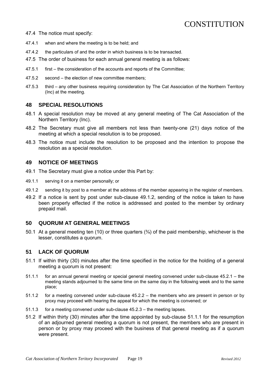47.4 The notice must specify:

- 47.4.1 when and where the meeting is to be held; and
- 47.4.2 the particulars of and the order in which business is to be transacted.
- 47.5 The order of business for each annual general meeting is as follows:
- 47.5.1 first the consideration of the accounts and reports of the Committee;
- 47.5.2 second the election of new committee members;
- 47.5.3 third any other business requiring consideration by The Cat Association of the Northern Territory (Inc) at the meeting.

#### <span id="page-18-0"></span>**48 SPECIAL RESOLUTIONS**

- 48.1 A special resolution may be moved at any general meeting of The Cat Association of the Northern Territory (Inc).
- 48.2 The Secretary must give all members not less than twenty-one (21) days notice of the meeting at which a special resolution is to be proposed.
- 48.3 The notice must include the resolution to be proposed and the intention to propose the resolution as a special resolution.

#### <span id="page-18-1"></span>**49 NOTICE OF MEETINGS**

- 49.1 The Secretary must give a notice under this Part by:
- 49.1.1 serving it on a member personally; or
- 49.1.2 sending it by post to a member at the address of the member appearing in the register of members.
- 49.2 If a notice is sent by post under sub-clause 49.1.2, sending of the notice is taken to have been properly effected if the notice is addressed and posted to the member by ordinary prepaid mail.

#### <span id="page-18-2"></span>**50 QUORUM AT GENERAL MEETINGS**

50.1 At a general meeting ten (10) or three quarters (%) of the paid membership, whichever is the lesser, constitutes a quorum.

# <span id="page-18-3"></span>**51 LACK OF QUORUM**

- 51.1 If within thirty (30) minutes after the time specified in the notice for the holding of a general meeting a quorum is not present:
- 51.1.1 for an annual general meeting or special general meeting convened under sub-clause 45.2.1 the meeting stands adjourned to the same time on the same day in the following week and to the same place;
- 51.1.2 for a meeting convened under sub-clause 45.2.2 the members who are present in person or by proxy may proceed with hearing the appeal for which the meeting is convened; or
- 51.1.3 for a meeting convened under sub-clause 45.2.3 the meeting lapses.
- 51.2 If within thirty (30) minutes after the time appointed by sub-clause 51.1.1 for the resumption of an adjourned general meeting a quorum is not present, the members who are present in person or by proxy may proceed with the business of that general meeting as if a quorum were present.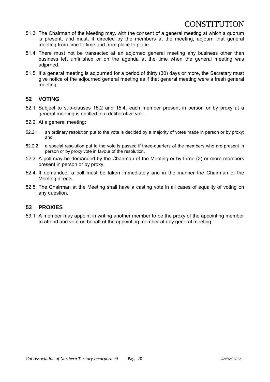- 51.3 The Chairman of the Meeting may, with the consent of a general meeting at which a quorum is present, and must, if directed by the members at the meeting, adjourn that general meeting from time to time and from place to place.
- 51.4 There must not be transacted at an adjorned general meeting any business other than business left unfinished or on the agenda at the time when the general meeting was adjprned.
- 51.5 If a general meeting is adjourned for a period of thirty (30) days or more, the Secretary must give notice of the adjourned general meeting as if that general meeting were a fresh general meeting.

# <span id="page-19-0"></span>**52 VOTING**

- 52.1 Subject to sub-clauses 15.2 and 15.4, each member present in person or by proxy at a general meeting is entitled to a deliberative vote.
- 52.2 At a general meeting:
- 52.2.1 an ordinary resolution put to the vote is decided by a majority of votes made in person or by proxy; and
- 52.2.2 a special resolution put to the vote is passed if three-quarters of the members who are present in person or by proxy vote in favour of the resolution.
- 52.3 A poll may be demanded by the Chairman of the Meeting or by three (3) or more members present in person or by proxy.
- 52.4 If demanded, a poll must be taken immediately and in the manner the Chairman of the Meeting directs.
- 52.5 The Chairman at the Meeting shall have a casting vote in all cases of equality of voting on any question.

# <span id="page-19-1"></span>**53 PROXIES**

53.1 A member may appoint in writing another member to be the proxy of the appointing member to attend and vote on behalf of the appointing member at any general meeting.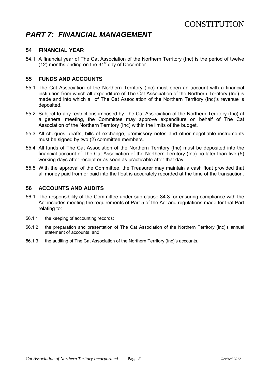# <span id="page-20-0"></span>*PART 7: FINANCIAL MANAGEMENT*

### <span id="page-20-1"></span>**54 FINANCIAL YEAR**

54.1 A financial year of The Cat Association of the Northern Territory (Inc) is the period of twelve  $(12)$  months ending on the 31 $^{\rm st}$  day of December.

### <span id="page-20-2"></span>**55 FUNDS AND ACCOUNTS**

- 55.1 The Cat Association of the Northern Territory (Inc) must open an account with a financial institution from which all expenditure of The Cat Association of the Northern Territory (Inc) is made and into which all of The Cat Association of the Northern Territory (Inc)'s revenue is deposited.
- 55.2 Subject to any restrictions imposed by The Cat Association of the Northern Territory (Inc) at a general meeting, the Committee may approve expenditure on behalf of The Cat Association of the Northern Territory (Inc) within the limits of the budget.
- 55.3 All cheques, drafts, bills of exchange, promissory notes and other negotiable instruments must be signed by two (2) committee members.
- 55.4 All funds of The Cat Association of the Northern Territory (Inc) must be deposited into the financial account of The Cat Association of the Northern Territory (Inc) no later than five (5) working days after receipt or as soon as practicable after that day.
- 55.5 With the approval of the Committee, the Treasurer may maintain a cash float provided that all money paid from or paid into the float is accurately recorded at the time of the transaction.

### <span id="page-20-3"></span>**56 ACCOUNTS AND AUDITS**

- 56.1 The responsibility of the Committee under sub-clause 34.3 for ensuring compliance with the Act includes meeting the requirements of Part 5 of the Act and regulations made for that Part relating to:
- 56.1.1 the keeping of accounting records;
- 56.1.2 the preparation and presentation of The Cat Association of the Northern Territory (Inc)'s annual statement of accounts; and
- 56.1.3 the auditing of The Cat Association of the Northern Territory (Inc)'s accounts.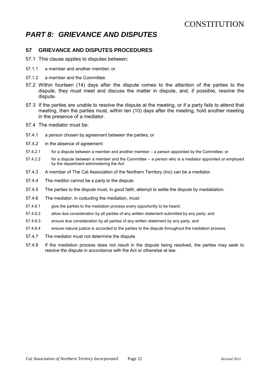# <span id="page-21-0"></span>*PART 8: GRIEVANCE AND DISPUTES*

# <span id="page-21-1"></span>**57 GRIEVANCE AND DISPUTES PROCEDURES**

- 57.1 This clause applies to disputes between:
- 57.1.1 a member and another member; or
- 57.1.2 a member and the Committee.
- 57.2 Within fourteen (14) days after the dispute comes to the attention of the parties to the dispute, they must meet and discuss the matter in dispute, and, if possible, resolve the dispute.
- 57.3 If the parties are unable to resolve the dispute at the meeting, or if a party fails to attend that meeting, then the parties must, within ten (10) days after the meeting, hold another meeting in the presence of a mediator.
- 57.4 The mediator must be:
- 57.4.1 a person chosen by agreement between the parties; or
- 57.4.2 in the absence of agreement:
- 57.4.2.1 for a dispute between a member and another member a person appointed by the Committee; or
- 57.4.2.2 for a dispute between a member and the Committee a person who is a mediator appointed or employed by the department administering the Act.
- 57.4.3 A member of The Cat Association of the Northern Territory (Inc) can be a mediator.
- 57.4.4 The meditor cannot be a party to the dispute.
- 57.4.5 The parties to the dispute must, in good faith, attempt to settle the dispute by mediatiation.
- 57.4.6 The mediator, in coducting the mediation, must:
- 57.4.6.1 give the parties to the mediation process every opportunity to be heard;
- 57.4.6.2 allow due consideration by all parties of any written statement submitted by any party; and
- 57.4.6.3 ensure due consideration by all parties of any written statement by any party; and
- 57.4.6.4 ensure natural justice is accorded to the parties to the dispute throughout the mediation process.
- 57.4.7 The mediator must not determine the dispute.
- 57.4.8 If the mediation process does not result in the dispute being resolved, the parties may seek to resolve the dispute in accordance with the Act or otherwise at law.